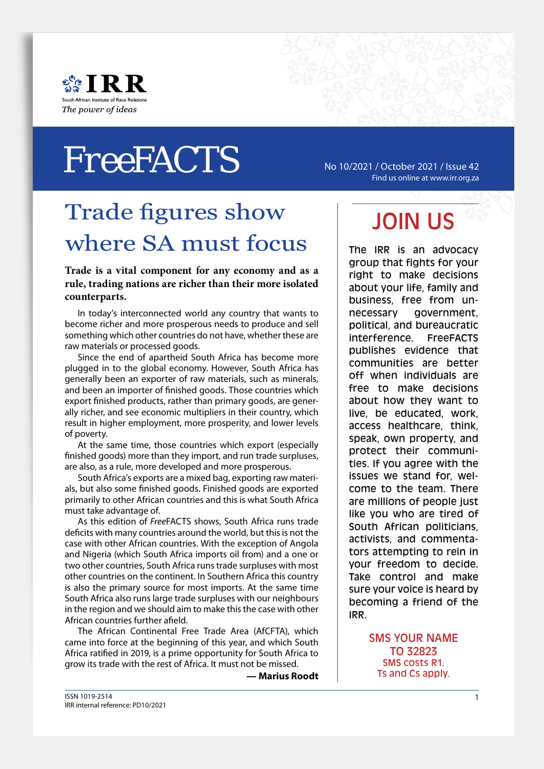



# No 10/2021 / October 2021 / Issue 42 *Free*FACTS

Find us online at www.irr.org.za

# Trade figures show where SA must focus

**Trade is a vital component for any economy and as a rule, trading nations are richer than their more isolated counterparts.**

In today's interconnected world any country that wants to become richer and more prosperous needs to produce and sell something which other countries do not have, whether these are raw materials or processed goods.

Since the end of apartheid South Africa has become more plugged in to the global economy. However, South Africa has generally been an exporter of raw materials, such as minerals, and been an importer of finished goods. Those countries which export finished products, rather than primary goods, are generally richer, and see economic multipliers in their country, which result in higher employment, more prosperity, and lower levels of poverty.

At the same time, those countries which export (especially finished goods) more than they import, and run trade surpluses, are also, as a rule, more developed and more prosperous.

South Africa's exports are a mixed bag, exporting raw materials, but also some finished goods. Finished goods are exported primarily to other African countries and this is what South Africa must take advantage of.

As this edition of *Free*FACTS shows, South Africa runs trade deficits with many countries around the world, but this is not the case with other African countries. With the exception of Angola and Nigeria (which South Africa imports oil from) and a one or two other countries, South Africa runs trade surpluses with most other countries on the continent. In Southern Africa this country is also the primary source for most imports. At the same time South Africa also runs large trade surpluses with our neighbours in the region and we should aim to make this the case with other African countries further afield.

The African Continental Free Trade Area (AfCFTA), which came into force at the beginning of this year, and which South Africa ratified in 2019, is a prime opportunity for South Africa to grow its trade with the rest of Africa. It must not be missed.

**— Marius Roodt**

# JOIN US

The IRR is an advocacy group that fights for your right to make decisions about your life, family and business, free from unnecessary government, political, and bureaucratic interference. FreeFACTS publishes evidence that communities are better off when individuals are free to make decisions about how they want to live, be educated, work, access healthcare, think, speak, own property, and protect their communities. If you agree with the issues we stand for, welcome to the team. There are millions of people just like you who are tired of South African politicians, activists, and commentators attempting to rein in your freedom to decide. Take control and make sure your voice is heard by becoming a friend of the IRR.

> SMS YOUR NAME TO 32823 SMS costs R1. Ts and Cs apply.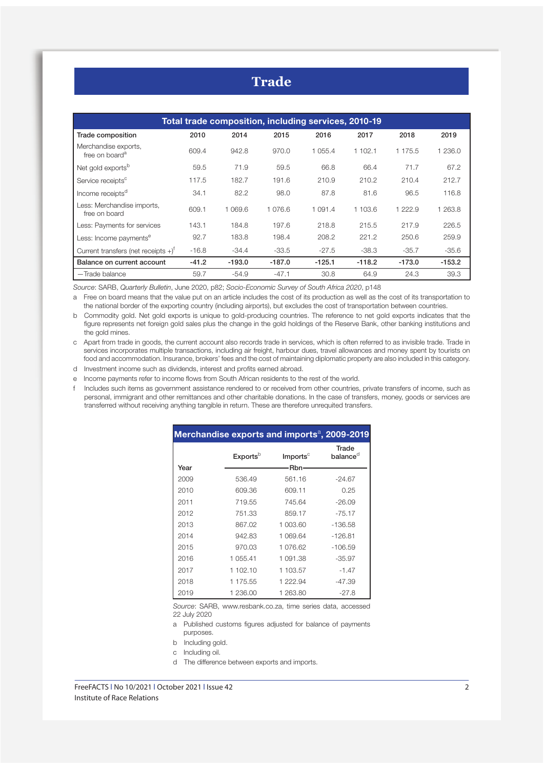| Total trade composition, including services, 2010-19 |         |          |          |            |          |             |          |  |
|------------------------------------------------------|---------|----------|----------|------------|----------|-------------|----------|--|
| Trade composition                                    | 2010    | 2014     | 2015     | 2016       | 2017     | 2018        | 2019     |  |
| Merchandise exports,<br>free on board <sup>a</sup>   | 609.4   | 942.8    | 970.0    | 1 055.4    | 1 102.1  | 1 175.5     | 1 236.0  |  |
| Net gold exports <sup>b</sup>                        | 59.5    | 71.9     | 59.5     | 66.8       | 66.4     | 71.7        | 67.2     |  |
| Service receipts <sup>c</sup>                        | 117.5   | 182.7    | 191.6    | 210.9      | 210.2    | 210.4       | 212.7    |  |
| Income receipts <sup>d</sup>                         | 34.1    | 82.2     | 98.0     | 87.8       | 81.6     | 96.5        | 116.8    |  |
| Less: Merchandise imports,<br>free on board          | 609.1   | 1 069.6  | 1 076.6  | 1 0 9 1 .4 | 1 103.6  | 1 2 2 2 . 9 | 1 263.8  |  |
| Less: Payments for services                          | 143.1   | 184.8    | 197.6    | 218.8      | 215.5    | 217.9       | 226.5    |  |
| Less: Income payments <sup>e</sup>                   | 92.7    | 183.8    | 198.4    | 208.2      | 221.2    | 250.6       | 259.9    |  |
| Current transfers (net receipts $+$ ) <sup>†</sup>   | $-16.8$ | $-34.4$  | $-33.5$  | $-27.5$    | $-38.3$  | $-35.7$     | $-35.6$  |  |
| Balance on current account                           | $-41.2$ | $-193.0$ | $-187.0$ | $-125.1$   | $-118.2$ | $-173.0$    | $-153.2$ |  |
| -Trade balance                                       | 59.7    | $-54.9$  | $-47.1$  | 30.8       | 64.9     | 24.3        | 39.3     |  |

*Source*: SARB, *Quarterly Bulletin*, June 2020, p82; *Socio-Economic Survey of South Africa 2020*, p148

a Free on board means that the value put on an article includes the cost of its production as well as the cost of its transportation to the national border of the exporting country (including airports), but excludes the cost of transportation between countries.

b Commodity gold. Net gold exports is unique to gold-producing countries. The reference to net gold exports indicates that the figure represents net foreign gold sales plus the change in the gold holdings of the Reserve Bank, other banking institutions and the gold mines.

c Apart from trade in goods, the current account also records trade in services, which is often referred to as invisible trade. Trade in services incorporates multiple transactions, including air freight, harbour dues, travel allowances and money spent by tourists on food and accommodation. Insurance, brokers' fees and the cost of maintaining diplomatic property are also included in this category.

d Investment income such as dividends, interest and profits earned abroad.

e Income payments refer to income flows from South African residents to the rest of the world.

f Includes such items as government assistance rendered to or received from other countries, private transfers of income, such as personal, immigrant and other remittances and other charitable donations. In the case of transfers, money, goods or services are transferred without receiving anything tangible in return. These are therefore unrequited transfers.

| Merchandise exports and imports <sup>a</sup> , 2009-2019 |                      |                      |                                |  |  |  |  |
|----------------------------------------------------------|----------------------|----------------------|--------------------------------|--|--|--|--|
|                                                          | Exports <sup>b</sup> | Imports <sup>c</sup> | Trade<br>balance $^{\text{d}}$ |  |  |  |  |
| Year                                                     |                      | -Rbn-                |                                |  |  |  |  |
| 2009                                                     | 536.49               | 561.16               | $-24.67$                       |  |  |  |  |
| 2010                                                     | 609.36               | 609.11               | 0.25                           |  |  |  |  |
| 2011                                                     | 719.55               | 745.64               | $-26.09$                       |  |  |  |  |
| 2012                                                     | 751.33               | 859.17               | $-75.17$                       |  |  |  |  |
| 2013                                                     | 867.02               | 1 003.60             | $-136.58$                      |  |  |  |  |
| 2014                                                     | 942.83               | 1 069.64             | $-126.81$                      |  |  |  |  |
| 2015                                                     | 970.03               | 1 076.62             | $-106.59$                      |  |  |  |  |
| 2016                                                     | 1 055.41             | 1 091.38             | $-35.97$                       |  |  |  |  |
| 2017                                                     | 1 102.10             | 1 103.57             | $-1.47$                        |  |  |  |  |
| 2018                                                     | 1 175.55             | 1 222.94             | $-47.39$                       |  |  |  |  |
| 2019                                                     | 1 236.00             | 1 263.80             | $-27.8$                        |  |  |  |  |

*Source*: SARB, www.resbank.co.za, time series data, accessed 22 July 2020

a Published customs figures adjusted for balance of payments purposes.

b Including gold.

c Including oil.

d The difference between exports and imports.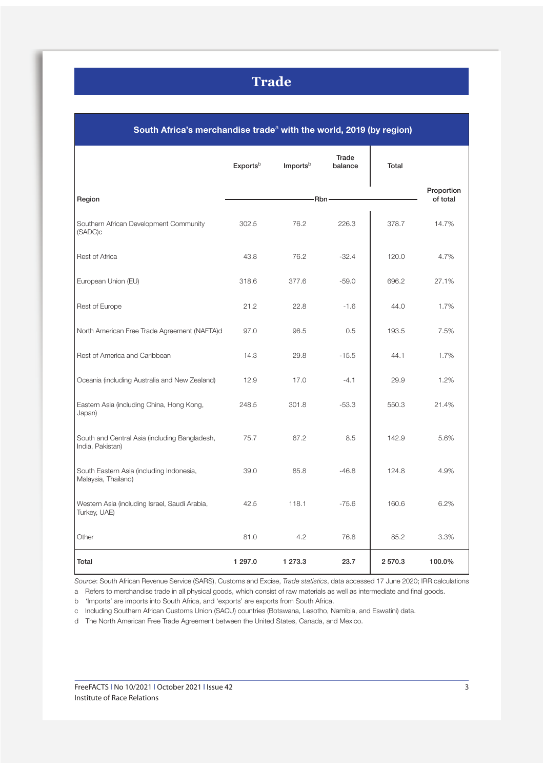| South Africa's merchandise trade <sup>a</sup> with the world, 2019 (by region) |                      |                        |                  |         |        |  |  |
|--------------------------------------------------------------------------------|----------------------|------------------------|------------------|---------|--------|--|--|
|                                                                                | Exports <sup>b</sup> | Imports <sup>b</sup>   | Trade<br>balance | Total   |        |  |  |
| Region                                                                         |                      | Proportion<br>of total |                  |         |        |  |  |
| Southern African Development Community<br>(SADC)c                              | 302.5                | 76.2                   | 226.3            | 378.7   | 14.7%  |  |  |
| <b>Rest of Africa</b>                                                          | 43.8                 | 76.2                   | $-32.4$          | 120.0   | 4.7%   |  |  |
| European Union (EU)                                                            | 318.6                | 377.6                  | $-59.0$          | 696.2   | 27.1%  |  |  |
| Rest of Europe                                                                 | 21.2                 | 22.8                   | $-1.6$           | 44.0    | 1.7%   |  |  |
| North American Free Trade Agreement (NAFTA)d                                   | 97.0                 | 96.5                   | 0.5              | 193.5   | 7.5%   |  |  |
| Rest of America and Caribbean                                                  | 14.3                 | 29.8                   | $-15.5$          | 44.1    | 1.7%   |  |  |
| Oceania (including Australia and New Zealand)                                  | 12.9                 | 17.0                   | $-4.1$           | 29.9    | 1.2%   |  |  |
| Eastern Asia (including China, Hong Kong,<br>Japan)                            | 248.5                | 301.8                  | $-53.3$          | 550.3   | 21.4%  |  |  |
| South and Central Asia (including Bangladesh,<br>India, Pakistan)              | 75.7                 | 67.2                   | 8.5              | 142.9   | 5.6%   |  |  |
| South Eastern Asia (including Indonesia,<br>Malaysia, Thailand)                | 39.0                 | 85.8                   | $-46.8$          | 124.8   | 4.9%   |  |  |
| Western Asia (including Israel, Saudi Arabia,<br>Turkey, UAE)                  | 42.5                 | 118.1                  | $-75.6$          | 160.6   | 6.2%   |  |  |
| Other                                                                          | 81.0                 | 4.2                    | 76.8             | 85.2    | 3.3%   |  |  |
| Total                                                                          | 1 297.0              | 1 273.3                | 23.7             | 2 570.3 | 100.0% |  |  |

*Source*: South African Revenue Service (SARS), Customs and Excise, *Trade statistics*, data accessed 17 June 2020; IRR calculations

a Refers to merchandise trade in all physical goods, which consist of raw materials as well as intermediate and final goods.

b 'Imports' are imports into South Africa, and 'exports' are exports from South Africa.

c Including Southern African Customs Union (SACU) countries (Botswana, Lesotho, Namibia, and Eswatini) data.

d The North American Free Trade Agreement between the United States, Canada, and Mexico.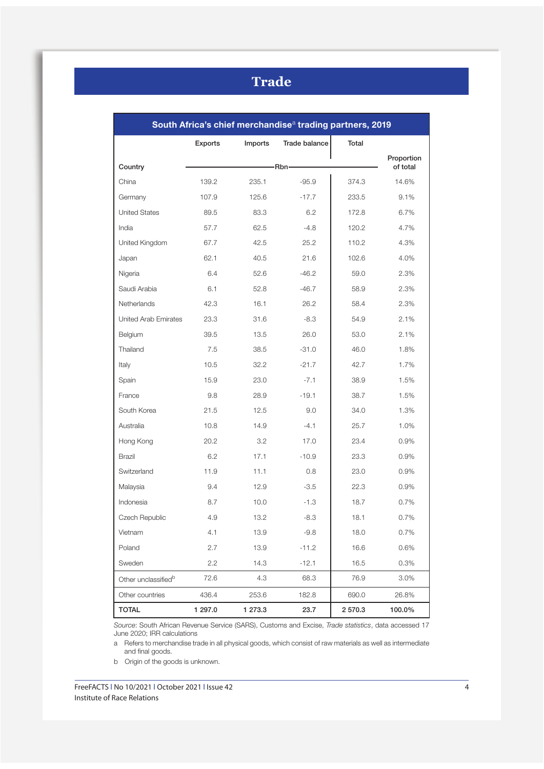| South Africa's chief merchandise <sup>a</sup> trading partners, 2019 |         |         |                      |        |                        |  |  |
|----------------------------------------------------------------------|---------|---------|----------------------|--------|------------------------|--|--|
|                                                                      | Exports | Imports | <b>Trade balance</b> | Total  |                        |  |  |
| Country                                                              | -Rbn-   |         |                      |        | Proportion<br>of total |  |  |
|                                                                      |         |         |                      |        |                        |  |  |
| China                                                                | 139.2   | 235.1   | $-95.9$              | 374.3  | 14.6%                  |  |  |
| Germany                                                              | 107.9   | 125.6   | $-17.7$              | 233.5  | 9.1%                   |  |  |
| <b>United States</b>                                                 | 89.5    | 83.3    | 6.2                  | 172.8  | 6.7%                   |  |  |
| India                                                                | 57.7    | 62.5    | $-4.8$               | 120.2  | 4.7%                   |  |  |
| United Kingdom                                                       | 67.7    | 42.5    | 25.2                 | 110.2  | 4.3%                   |  |  |
| Japan                                                                | 62.1    | 40.5    | 21.6                 | 102.6  | 4.0%                   |  |  |
| Nigeria                                                              | 6.4     | 52.6    | $-46.2$              | 59.0   | 2.3%                   |  |  |
| Saudi Arabia                                                         | 6.1     | 52.8    | $-46.7$              | 58.9   | 2.3%                   |  |  |
| Netherlands                                                          | 42.3    | 16.1    | 26.2                 | 58.4   | 2.3%                   |  |  |
| United Arab Emirates                                                 | 23.3    | 31.6    | $-8.3$               | 54.9   | 2.1%                   |  |  |
| Belgium                                                              | 39.5    | 13.5    | 26.0                 | 53.0   | 2.1%                   |  |  |
| Thailand                                                             | 7.5     | 38.5    | $-31.0$              | 46.0   | 1.8%                   |  |  |
| Italy                                                                | 10.5    | 32.2    | $-21.7$              | 42.7   | 1.7%                   |  |  |
| Spain                                                                | 15.9    | 23.0    | $-7.1$               | 38.9   | 1.5%                   |  |  |
| France                                                               | 9.8     | 28.9    | $-19.1$              | 38.7   | 1.5%                   |  |  |
| South Korea                                                          | 21.5    | 12.5    | 9.0                  | 34.0   | 1.3%                   |  |  |
| Australia                                                            | 10.8    | 14.9    | $-4.1$               | 25.7   | 1.0%                   |  |  |
| Hong Kong                                                            | 20.2    | 3.2     | 17.0                 | 23.4   | 0.9%                   |  |  |
| Brazil                                                               | 6.2     | 17.1    | $-10.9$              | 23.3   | 0.9%                   |  |  |
| Switzerland                                                          | 11.9    | 11.1    | 0.8                  | 23.0   | 0.9%                   |  |  |
| Malaysia                                                             | 9.4     | 12.9    | $-3.5$               | 22.3   | 0.9%                   |  |  |
| Indonesia                                                            | 8.7     | 10.0    | $-1.3$               | 18.7   | 0.7%                   |  |  |
| Czech Republic                                                       | 4.9     | 13.2    | $-8.3$               | 18.1   | 0.7%                   |  |  |
| Vietnam                                                              | 4.1     | 13.9    | $-9.8$               | 18.0   | 0.7%                   |  |  |
| Poland                                                               | 2.7     | 13.9    | $-11.2$              | 16.6   | 0.6%                   |  |  |
| Sweden                                                               | 2.2     | 14.3    | $-12.1$              | 16.5   | 0.3%                   |  |  |
| Other unclassified <sup>b</sup>                                      | 72.6    | 4.3     | 68.3                 | 76.9   | 3.0%                   |  |  |
| Other countries                                                      | 436.4   | 253.6   | 182.8                | 690.0  | 26.8%                  |  |  |
| <b>TOTAL</b>                                                         | 1 297.0 | 1 273.3 | 23.7                 | 2570.3 | 100.0%                 |  |  |

*Source*: South African Revenue Service (SARS), Customs and Excise, *Trade statistics*, data accessed 17 June 2020; IRR calculations

a Refers to merchandise trade in all physical goods, which consist of raw materials as well as intermediate and final goods.

b Origin of the goods is unknown.

FreeFACTS l No 10/2021 l October 2021 l Issue 42 4 Institute of Race Relations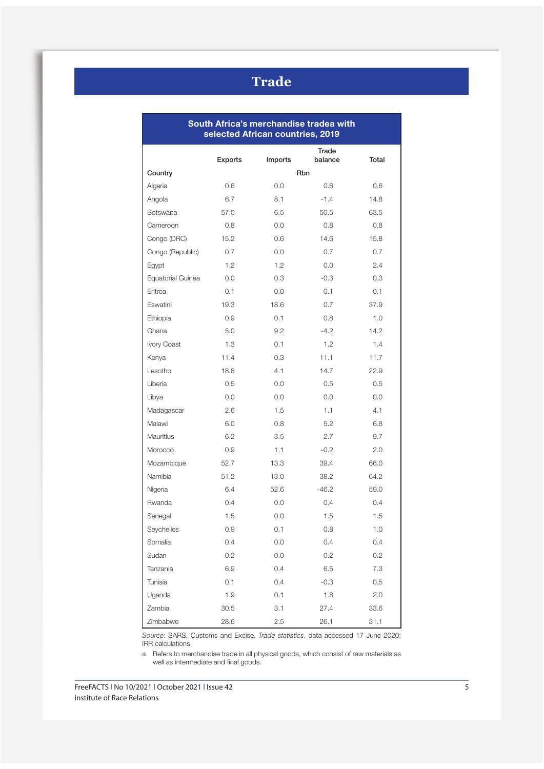| South Africa's merchandise tradea with<br>selected African countries, 2019 |         |         |                  |       |  |  |  |
|----------------------------------------------------------------------------|---------|---------|------------------|-------|--|--|--|
|                                                                            | Exports | Imports | Trade<br>balance | Total |  |  |  |
| Country                                                                    |         |         | <b>Rbn</b>       |       |  |  |  |
| Algeria                                                                    | 0.6     | 0.0     | 0.6              | 0.6   |  |  |  |
| Angola                                                                     | 6.7     | 8.1     | $-1.4$           | 14.8  |  |  |  |
| <b>Botswana</b>                                                            | 57.0    | 6.5     | 50.5             | 63.5  |  |  |  |
| Cameroon                                                                   | 0.8     | 0.0     | 0.8              | 0.8   |  |  |  |
| Congo (DRC)                                                                | 15.2    | 0.6     | 14.6             | 15.8  |  |  |  |
| Congo (Republic)                                                           | 0.7     | 0.0     | 0.7              | 0.7   |  |  |  |
| Egypt                                                                      | 1.2     | 1.2     | 0.0              | 2.4   |  |  |  |
| Equatorial Guinea                                                          | 0.0     | 0.3     | $-0.3$           | 0.3   |  |  |  |
| Eritrea                                                                    | 0.1     | 0.0     | 0.1              | 0.1   |  |  |  |
| Eswatini                                                                   | 19.3    | 18.6    | 0.7              | 37.9  |  |  |  |
| Ethiopia                                                                   | 0.9     | 0.1     | 0.8              | 1.0   |  |  |  |
| Ghana                                                                      | 5.0     | 9.2     | $-4.2$           | 14.2  |  |  |  |
| Ivory Coast                                                                | 1.3     | 0.1     | 1.2              | 1.4   |  |  |  |
| Kenya                                                                      | 11.4    | 0.3     | 11.1             | 11.7  |  |  |  |
| Lesotho                                                                    | 18.8    | 4.1     | 14.7             | 22.9  |  |  |  |
| Liberia                                                                    | 0.5     | 0.0     | 0.5              | 0.5   |  |  |  |
| Libya                                                                      | 0.0     | 0.0     | 0.0              | 0.0   |  |  |  |
| Madagascar                                                                 | 2.6     | 1.5     | 1.1              | 4.1   |  |  |  |
| Malawi                                                                     | 6.0     | 0.8     | 5.2              | 6.8   |  |  |  |
| Mauritius                                                                  | 6.2     | 3.5     | 2.7              | 9.7   |  |  |  |
| Morocco                                                                    | 0.9     | 1.1     | $-0.2$           | 2.0   |  |  |  |
| Mozambique                                                                 | 52.7    | 13.3    | 39.4             | 66.0  |  |  |  |
| Namibia                                                                    | 51.2    | 13.0    | 38.2             | 64.2  |  |  |  |
| Nigeria                                                                    | 6.4     | 52.6    | $-46.2$          | 59.0  |  |  |  |
| Rwanda                                                                     | 0.4     | 0.0     | 0.4              | 0.4   |  |  |  |
| Senegal                                                                    | 1.5     | 0.0     | 1.5              | 1.5   |  |  |  |
| Seychelles                                                                 | 0.9     | 0.1     | 0.8              | 1.0   |  |  |  |
| Somalia                                                                    | 0.4     | 0.0     | 0.4              | 0.4   |  |  |  |
| Sudan                                                                      | 0.2     | 0.0     | 0.2              | 0.2   |  |  |  |
| Tanzania                                                                   | 6.9     | 0.4     | 6.5              | 7.3   |  |  |  |
| Tunisia                                                                    | 0.1     | 0.4     | $-0.3$           | 0.5   |  |  |  |
| Uganda                                                                     | 1.9     | 0.1     | 1.8              | 2.0   |  |  |  |
| Zambia                                                                     | 30.5    | 3.1     | 27.4             | 33.6  |  |  |  |
| Zimbabwe                                                                   | 28.6    | 2.5     | 26.1             | 31.1  |  |  |  |

*Source*: SARS, Customs and Excise, *Trade statistics*, data accessed 17 June 2020; IRR calculations

a Refers to merchandise trade in all physical goods, which consist of raw materials as well as intermediate and final goods.

FreeFACTS I No 10/2021 | October 2021 | Issue 42 5 Institute of Race Relations